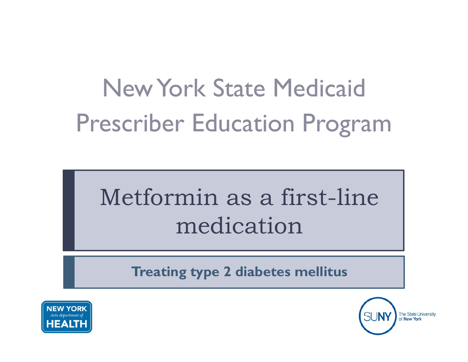# New York State MedicaidPrescriber Education Program

## Metformin as a first -line medication

**Treating type 2 diabetes mellitus**



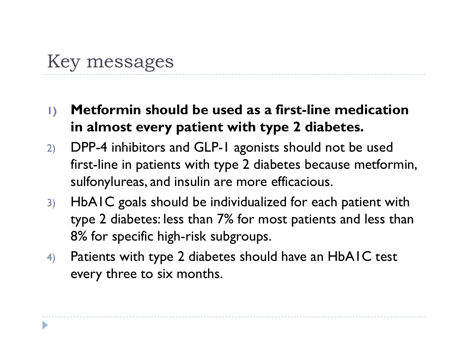## Key messages

- **1) Metformin should be used as a first-line medication in almost every patient with type 2 diabetes.**
- 2) DPP-4 inhibitors and GLP-1 agonists should not be used first-line in patients with type 2 diabetes because metformin, sulfonylureas, and insulin are more efficacious.
- 3) HbA1C goals should be individualized for each patient with type 2 diabetes: less than 7% for most patients and less than 8% for specific high-risk subgroups.
- 4) Patients with type 2 diabetes should have an HbA1C test every three to six months.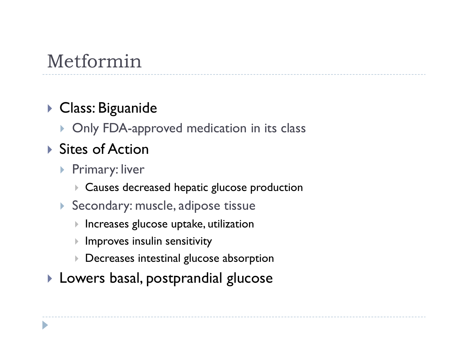## Metformin

#### Class: Biguanide

▶ Only FDA-approved medication in its class

#### ▶ Sites of Action

- ▶ Primary: liver
	- Causes decreased hepatic glucose production
- $\blacktriangleright$  Secondary: muscle, adipose tissue
	- $\blacktriangleright$  <code>Increases</code> glucose uptake, utilization
	- $\blacktriangleright$ Improves insulin sensitivity
	- $\blacktriangleright$ Decreases intestinal glucose absorption
- $\blacktriangleright$  Lowers basal, postprandial glucose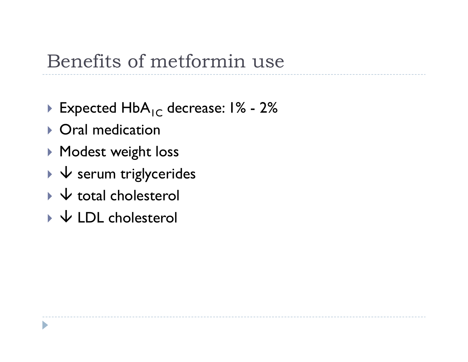### Benefits of metformin use

- $\blacktriangleright$  Expected HbA<sub>IC</sub> decrease: 1% - 2%
- ▶ Oral medication
- Modest wei ght loss
- $\blacktriangleright\blacktriangleleft\blacktriangleright$  serum triglycerides
- $\blacktriangleright\,\forall$  total cholesterol
- $\blacktriangleright\,\,\forall$  LDL cholesterol

D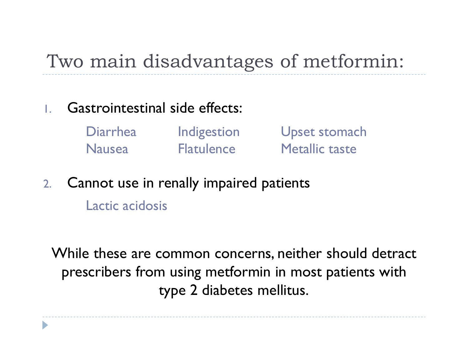## Two main disadvantages of metformin:

- 1. Gastrointestinal side effects:
	- Upset stomach Metallic tasteFlatulence**Indigestion** Diarrhea Nausea
- 2.Cannot use in renally impaired patients

Lactic acidosis

D

While these are common concerns, neither should detract prescribers from using metformin in most patients with type 2 diabetes mellitus.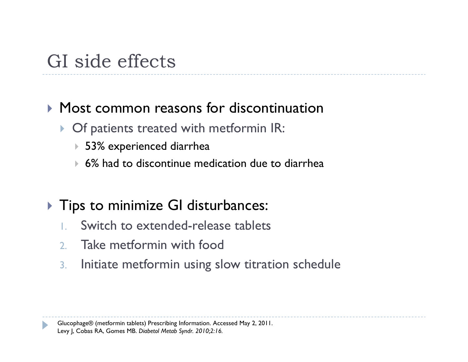## GI side effects

#### Most common reasons for discontinuation

- **Of patients treated with metformin IR:** 
	- 53% experienced diarrhea
	- 6% had to discontinue medication due to diarrhea
- $\blacktriangleright$  Tips to minimize GI disturbances:
	- 1.Switch to extended-release tablets
	- 2. Take metformin with food
	- 3.Initiate metformin using slow titration schedule

Glucophage® (metformin tablets) Prescribing Information. Accessed May 2, 2011. Levy J, Cobas RA, Gomes MB. *Diabetol Metab Syndr. 2010;2:16.*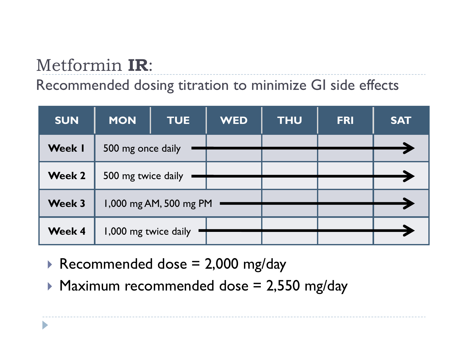## Metformin **IR**:

#### Recommended dosing titration to minimize GI side effects

| <b>SUN</b>    | <b>MON</b><br><b>TUE</b> | <b>WED</b> | <b>THU</b> | <b>FRI</b> | <b>SAT</b> |
|---------------|--------------------------|------------|------------|------------|------------|
| <b>Week I</b> | 500 mg once daily        |            |            |            |            |
| <b>Week 2</b> | 500 mg twice daily       |            |            |            |            |
| Week 3        | 1,000 mg AM, 500 mg PM   |            |            |            |            |
| <b>Week 4</b> | 1,000 mg twice daily     |            |            |            |            |

- $\blacktriangleright$  Recommended dose = 2,000 mg/day
- $\blacktriangleright$  Maximum recommended dose = 2,550 mg/day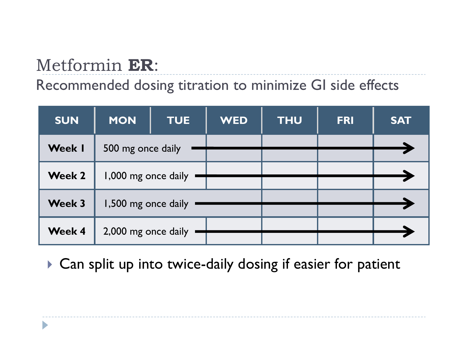## Metformin **ER**:

D

#### Recommended dosing titration to minimize GI side effects

| <b>SUN</b>    | <b>MON</b>          | <b>TUE</b> | <b>WED</b> | <b>THU</b> | <b>FRI</b> | <b>SAT</b> |
|---------------|---------------------|------------|------------|------------|------------|------------|
| <b>Week I</b> | 500 mg once daily   |            |            |            |            |            |
| <b>Week 2</b> | 1,000 mg once daily |            |            |            |            |            |
| <b>Week 3</b> | 1,500 mg once daily |            |            |            |            |            |
| <b>Week 4</b> | 2,000 mg once daily |            |            |            |            |            |

Can split up into twice-daily dosing if easier for patient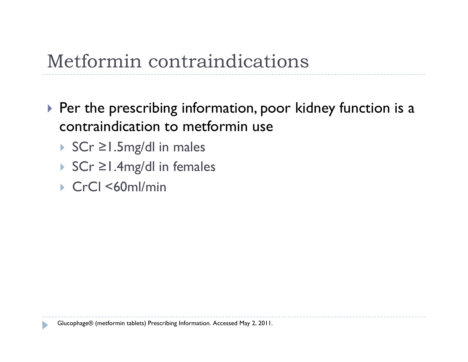- $\blacktriangleright$  Per the prescribing information, poor kidney function is a contraindication to metformin use
	- SCr <sup>≥</sup>1.5mg/dl in males
	- SCr <sup>≥</sup>1.4mg/dl in females
	- CrCl <60ml/min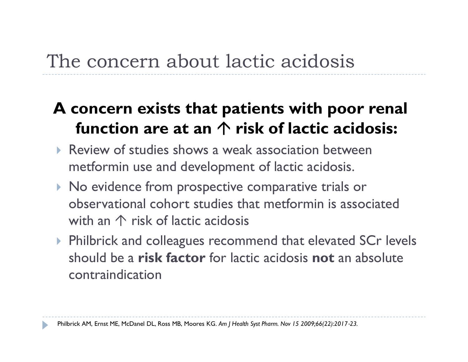## The concern about lactic acidosis

#### **A concern exists that patients with poor renal function are at an risk of lactic acidosis:**

- Review of studies shows a weak association between metformin use and development of lactic acidosis.
- $\triangleright$  No evidence from prospective comparative trials or observational cohort studies that metformin is associated with an  $\mathrel{\uparrow}$  risk of lactic acidosis
- ▶ Philbrick and colleagues recommend that elevated SCr levels should be a **risk factor** for lactic acidosis **not** an absolute contraindication

Philbrick AM, Ernst ME, McDanel DL, Ross MB, Moores KG. *Am J Health Syst Pharm. Nov 15 2009;66(22):2017*‐*23.*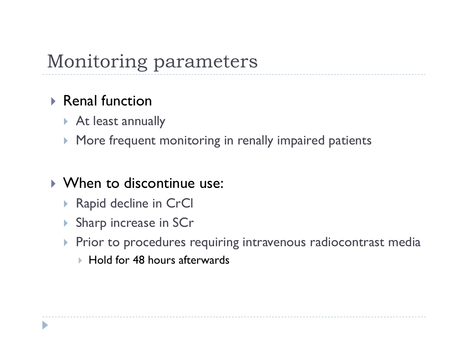## Monitoring parameters

#### $\triangleright$  Renal function

- ▶ At least annually
- More frequent monitoring in renally impaired patients

#### When to discontinue use:

- Rapid decline in CrCl
- Sharp increase in SCr
- $\blacktriangleright$  Prior to procedures requiring intravenous radiocontrast media
	- $\blacktriangleright$  Hold for 48 hours afterwards